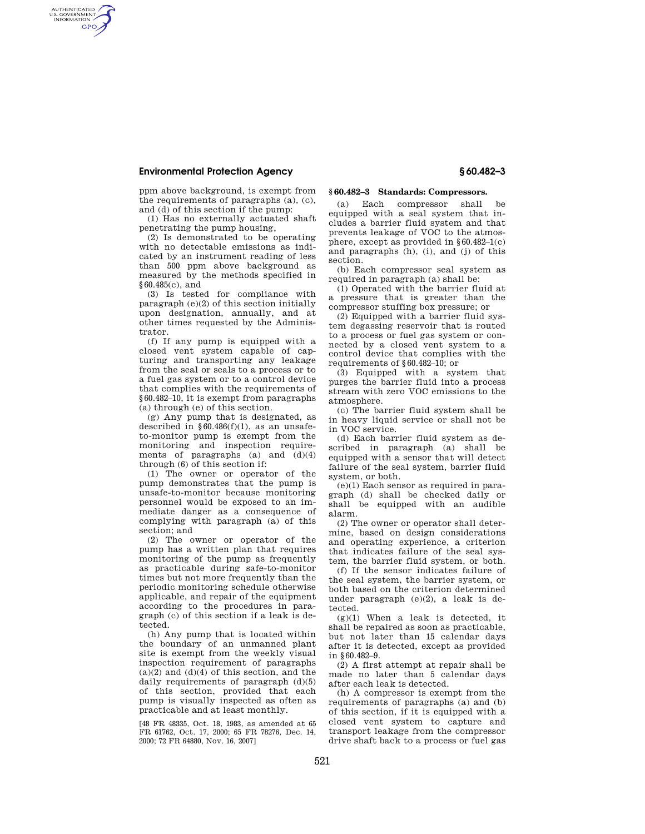## **Environmental Protection Agency § 60.482–3**

AUTHENTICATED<br>U.S. GOVERNMENT<br>INFORMATION **GPO** 

> ppm above background, is exempt from the requirements of paragraphs (a), (c), and (d) of this section if the pump:

(1) Has no externally actuated shaft penetrating the pump housing,

(2) Is demonstrated to be operating with no detectable emissions as indicated by an instrument reading of less than 500 ppm above background as measured by the methods specified in §60.485(c), and

(3) Is tested for compliance with paragraph (e)(2) of this section initially upon designation, annually, and at other times requested by the Administrator.

(f) If any pump is equipped with a closed vent system capable of capturing and transporting any leakage from the seal or seals to a process or to a fuel gas system or to a control device that complies with the requirements of §60.482–10, it is exempt from paragraphs (a) through (e) of this section.

(g) Any pump that is designated, as described in  $§ 60.486(f)(1)$ , as an unsafeto-monitor pump is exempt from the monitoring and inspection requirements of paragraphs  $(a)$  and  $(d)(4)$ through (6) of this section if:

(1) The owner or operator of the pump demonstrates that the pump is unsafe-to-monitor because monitoring personnel would be exposed to an immediate danger as a consequence of complying with paragraph (a) of this section; and

(2) The owner or operator of the pump has a written plan that requires monitoring of the pump as frequently as practicable during safe-to-monitor times but not more frequently than the periodic monitoring schedule otherwise applicable, and repair of the equipment according to the procedures in paragraph (c) of this section if a leak is detected.

(h) Any pump that is located within the boundary of an unmanned plant site is exempt from the weekly visual inspection requirement of paragraphs  $(a)(2)$  and  $(d)(4)$  of this section, and the daily requirements of paragraph  $(d)(5)$ of this section, provided that each pump is visually inspected as often as practicable and at least monthly.

[48 FR 48335, Oct. 18, 1983, as amended at 65 FR 61762, Oct. 17, 2000; 65 FR 78276, Dec. 14, 2000; 72 FR 64880, Nov. 16, 2007]

## **§ 60.482–3 Standards: Compressors.**

(a) Each compressor shall be equipped with a seal system that includes a barrier fluid system and that prevents leakage of VOC to the atmosphere, except as provided in  $§ 60.482-1(c)$ and paragraphs (h), (i), and (j) of this section.

(b) Each compressor seal system as required in paragraph (a) shall be:

(1) Operated with the barrier fluid at a pressure that is greater than the compressor stuffing box pressure; or

(2) Equipped with a barrier fluid system degassing reservoir that is routed to a process or fuel gas system or connected by a closed vent system to a control device that complies with the requirements of §60.482–10; or

(3) Equipped with a system that purges the barrier fluid into a process stream with zero VOC emissions to the atmosphere.

(c) The barrier fluid system shall be in heavy liquid service or shall not be in VOC service.

(d) Each barrier fluid system as described in paragraph (a) shall be equipped with a sensor that will detect failure of the seal system, barrier fluid system, or both.

(e)(1) Each sensor as required in paragraph (d) shall be checked daily or shall be equipped with an audible alarm.

(2) The owner or operator shall determine, based on design considerations and operating experience, a criterion that indicates failure of the seal system, the barrier fluid system, or both.

(f) If the sensor indicates failure of the seal system, the barrier system, or both based on the criterion determined under paragraph (e)(2), a leak is detected.

 $(g)(1)$  When a leak is detected, it shall be repaired as soon as practicable, but not later than 15 calendar days after it is detected, except as provided in §60.482–9.

(2) A first attempt at repair shall be made no later than 5 calendar days after each leak is detected.

(h) A compressor is exempt from the requirements of paragraphs (a) and (b) of this section, if it is equipped with a closed vent system to capture and transport leakage from the compressor drive shaft back to a process or fuel gas